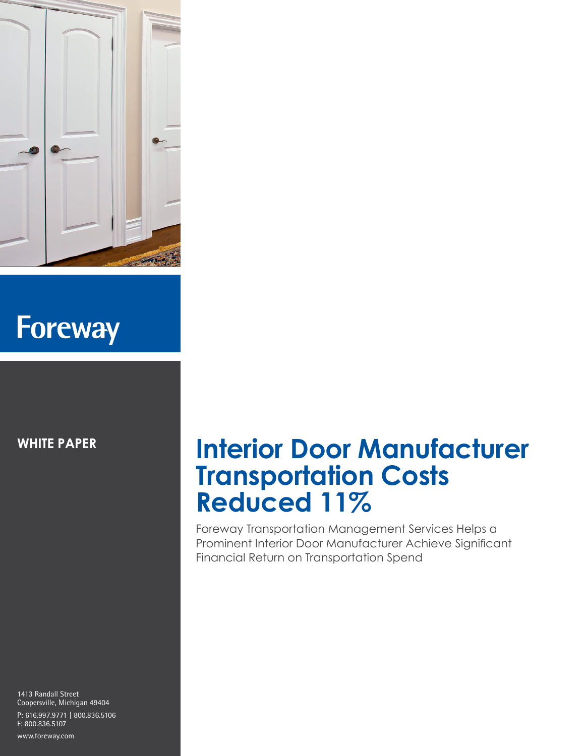

# **Foreway**

**WHITE PAPER**

1413 Randall Street Coopersville, Michigan 49404 P: 616.997.9771 | 800.836.5106 F: 800.836.5107

#### www.foreway.com

#### **Interior Door Manufacturer Transportation Costs Reduced 11%**

Foreway Transportation Management Services Helps a Prominent Interior Door Manufacturer Achieve Significant Financial Return on Transportation Spend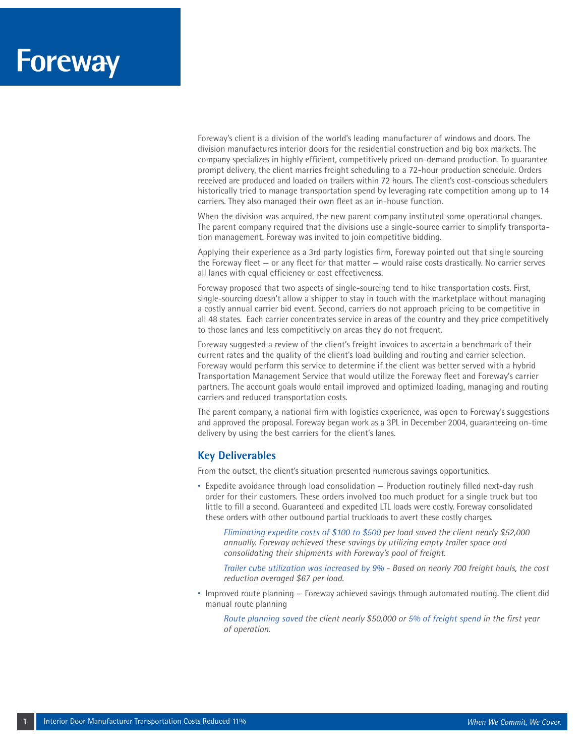### **Foreway**

Foreway's client is a division of the world's leading manufacturer of windows and doors. The division manufactures interior doors for the residential construction and big box markets. The company specializes in highly efficient, competitively priced on-demand production. To guarantee prompt delivery, the client marries freight scheduling to a 72-hour production schedule. Orders received are produced and loaded on trailers within 72 hours. The client's cost-conscious schedulers historically tried to manage transportation spend by leveraging rate competition among up to 14 carriers. They also managed their own fleet as an in-house function.

When the division was acquired, the new parent company instituted some operational changes. The parent company required that the divisions use a single-source carrier to simplify transportation management. Foreway was invited to join competitive bidding.

Applying their experience as a 3rd party logistics firm, Foreway pointed out that single sourcing the Foreway fleet — or any fleet for that matter — would raise costs drastically. No carrier serves all lanes with equal efficiency or cost effectiveness.

Foreway proposed that two aspects of single-sourcing tend to hike transportation costs. First, single-sourcing doesn't allow a shipper to stay in touch with the marketplace without managing a costly annual carrier bid event. Second, carriers do not approach pricing to be competitive in all 48 states. Each carrier concentrates service in areas of the country and they price competitively to those lanes and less competitively on areas they do not frequent.

Foreway suggested a review of the client's freight invoices to ascertain a benchmark of their current rates and the quality of the client's load building and routing and carrier selection. Foreway would perform this service to determine if the client was better served with a hybrid Transportation Management Service that would utilize the Foreway fleet and Foreway's carrier partners. The account goals would entail improved and optimized loading, managing and routing carriers and reduced transportation costs.

The parent company, a national firm with logistics experience, was open to Foreway's suggestions and approved the proposal. Foreway began work as a 3PL in December 2004, guaranteeing on-time delivery by using the best carriers for the client's lanes.

#### **Key Deliverables**

From the outset, the client's situation presented numerous savings opportunities.

• Expedite avoidance through load consolidation — Production routinely filled next-day rush order for their customers. These orders involved too much product for a single truck but too little to fill a second. Guaranteed and expedited LTL loads were costly. Foreway consolidated these orders with other outbound partial truckloads to avert these costly charges.

 *Eliminating expedite costs of \$100 to \$500 per load saved the client nearly \$52,000 annually. Foreway achieved these savings by utilizing empty trailer space and consolidating their shipments with Foreway's pool of freight.*

 *Trailer cube utilization was increased by 9% - Based on nearly 700 freight hauls, the cost reduction averaged \$67 per load.* 

• Improved route planning — Foreway achieved savings through automated routing. The client did manual route planning

 *Route planning saved the client nearly \$50,000 or 5% of freight spend in the first year of operation.*